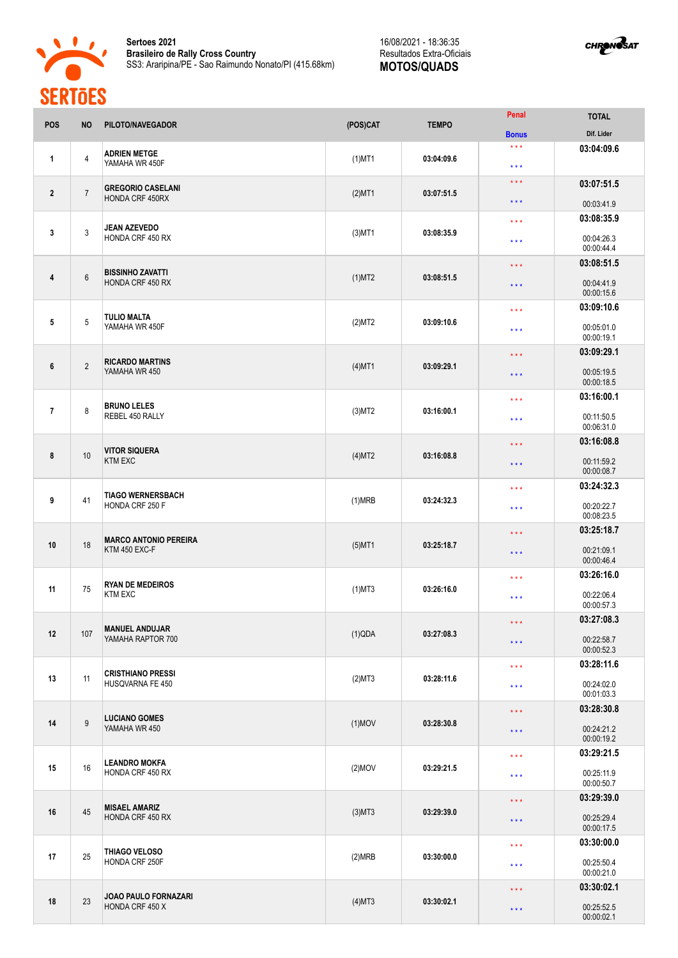

**Sertoes 2021 Brasileiro de Rally Cross Country** SS3: Araripina/PE - Sao Raimundo Nonato/PI (415.68km)

16/08/2021 - 18:36:35 Resultados Extra-Oficiais **MOTOS/QUADS**



| POS             | <b>NO</b>      | PILOTO/NAVEGADOR                                   | (POS)CAT  | <b>TEMPO</b>                          | Penal                                              | <b>TOTAL</b><br>Dif. Lider |
|-----------------|----------------|----------------------------------------------------|-----------|---------------------------------------|----------------------------------------------------|----------------------------|
| 1               | $\overline{4}$ | <b>ADRIEN METGE</b><br>YAMAHA WR 450F              | $(1)$ MT1 | 03:04:09.6                            | <b>Bonus</b><br>$***$<br>$***$                     | 03:04:09.6                 |
| $\mathbf{2}$    | $\overline{7}$ | <b>GREGORIO CASELANI</b><br><b>HONDA CRF 450RX</b> | $(2)$ MT1 | 03:07:51.5                            | $\star$ $\star$ $\star$                            | 03:07:51.5                 |
|                 |                |                                                    |           |                                       | $\star$ $\star$ $\star$<br>$***$                   | 00:03:41.9<br>03:08:35.9   |
| 3               | 3              | JEAN AZEVEDO<br>HONDA CRF 450 RX                   | $(3)$ MT1 | 03:08:35.9                            | $***$                                              | 00:04:26.3<br>00:00:44.4   |
|                 | 6              | <b>BISSINHO ZAVATTI</b>                            |           |                                       | $\star\star\star$                                  | 03:08:51.5                 |
| 4               |                | <b>HONDA CRF 450 RX</b>                            | $(1)$ MT2 | 03:08:51.5                            | $\star$ $\star$ $\star$                            | 00:04:41.9<br>00:00:15.6   |
|                 |                | <b>TULIO MALTA</b>                                 |           |                                       | $***$                                              | 03:09:10.6                 |
| $5\phantom{.0}$ | 5              | YAMAHA WR 450F                                     | (2)MT2    | 03:09:10.6                            | $\star\star\star$                                  | 00:05:01.0<br>00:00:19.1   |
| 6               | $\overline{2}$ | <b>RICARDO MARTINS</b>                             | $(4)$ MT1 | 03:09:29.1                            | $***$                                              | 03:09:29.1                 |
|                 |                | YAMAHA WR 450                                      |           |                                       | $\star$ $\star$ $\star$                            | 00:05:19.5<br>00:00:18.5   |
|                 |                | <b>BRUNO LELES</b><br>REBEL 450 RALLY              |           |                                       | $\star\star\star$                                  | 03:16:00.1                 |
| $\overline{1}$  | 8              |                                                    | (3)MT2    | 03:16:00.1                            | $***$                                              | 00:11:50.5<br>00:06:31.0   |
|                 |                | <b>VITOR SIQUERA</b><br><b>KTM EXC</b>             |           |                                       | $\star$ $\star$ $\star$<br>$\star$ $\star$ $\star$ | 03:16:08.8                 |
| 8               | 10             |                                                    | $(4)$ MT2 | 03:16:08.8                            |                                                    | 00:11:59.2<br>00:00:08.7   |
|                 |                | <b>TIAGO WERNERSBACH</b><br>HONDA CRF 250 F        |           |                                       | $***$                                              | 03:24:32.3                 |
| 9               | 41             |                                                    | (1)MRB    | 03:24:32.3                            | $\star\star\star$                                  | 00:20:22.7<br>00:08:23.5   |
| 10              | 18             | <b>MARCO ANTONIO PEREIRA</b>                       | $(5)$ MT1 |                                       | 03:25:18.7<br>$\star\star\star$                    |                            |
|                 |                | <b>KTM 450 EXC-F</b>                               |           | 03:25:18.7                            | $\star$ $\star$ $\star$                            | 00:21:09.1<br>00:00:46.4   |
| 11              | 75             | <b>RYAN DE MEDEIROS</b><br><b>KTM EXC</b>          | $(1)$ MT3 | 03:26:16.0                            | $***$                                              | 03:26:16.0                 |
|                 |                |                                                    |           |                                       | $***$                                              | 00:22:06.4<br>00:00:57.3   |
| 12              | 107            | <b>MANUEL ANDUJAR</b>                              |           | $\star$ $\star$ $\star$<br>03:27:08.3 | 03:27:08.3                                         |                            |
|                 |                | YAMAHA RAPTOR 700                                  | (1)QDA    |                                       | $\star$ $\star$ $\star$                            | 00:22:58.7<br>00:00:52.3   |
| 13              | 11             | <b>CRISTHIANO PRESSI</b><br>HUSQVARNA FE 450       | (2)MT3    | 03:28:11.6                            | $\star$ $\star$ $\star$                            | 03:28:11.6                 |
|                 |                |                                                    |           |                                       | $\star$ $\star$ $\star$                            | 00:24:02.0<br>00:01:03.3   |
|                 | 9              | <b>LUCIANO GOMES</b><br>YAMAHA WR 450              |           |                                       | $\star\star\star$                                  | 03:28:30.8                 |
| 14              |                |                                                    | $(1)$ MOV | 03:28:30.8                            | $\star$ $\star$ $\star$                            | 00:24:21.2<br>00:00:19.2   |
|                 | 16             | <b>LEANDRO MOKFA</b><br>HONDA CRF 450 RX           |           |                                       | $\star$ $\star$ $\star$                            | 03:29:21.5                 |
| 15              |                |                                                    | $(2)$ MOV | 03:29:21.5                            | $\star$ $\star$ $\star$                            | 00:25:11.9<br>00:00:50.7   |
|                 | 45             | <b>MISAEL AMARIZ</b><br>HONDA CRF 450 RX           | $(3)$ MT3 | 03:29:39.0                            | $\star\star\star$                                  | 03:29:39.0                 |
| 16              |                |                                                    |           |                                       | $\star$ $\star$ $\star$                            | 00:25:29.4<br>00:00:17.5   |
| 17              | 25             | THIAGO VELOSO<br>HONDA CRF 250F                    |           |                                       | $\star$ $\star$ $\star$                            | 03:30:00.0                 |
|                 |                |                                                    | (2)MRB    | 03:30:00.0                            | $\star\star\star$                                  | 00:25:50.4<br>00:00:21.0   |
| 18              | 23             | JOAO PAULO FORNAZARI<br>HONDA CRF 450 X            |           | 03:30:02.1                            | $\star$ $\star$ $\star$                            | 03:30:02.1                 |
|                 |                |                                                    | $(4)$ MT3 |                                       | $\star$ $\star$ $\star$                            | 00:25:52.5<br>00:00:02.1   |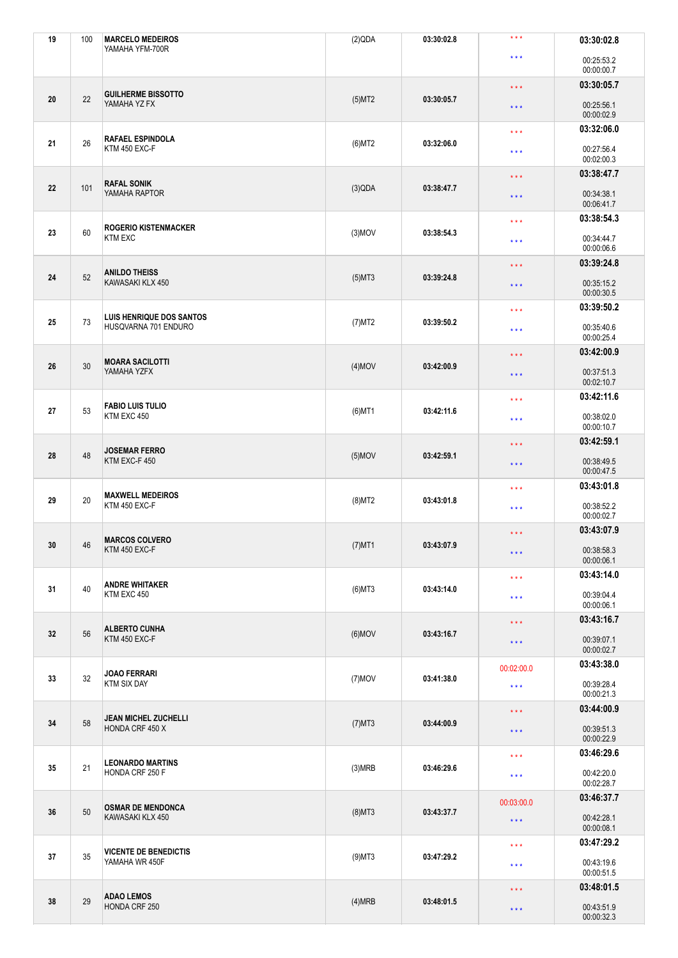| 19 | 100 | <b>MARCELO MEDEIROS</b><br>YAMAHA YFM-700R     | (2)QDA                  | 03:30:02.8                            | $\star$ $\star$ $\star$         | 03:30:02.8               |
|----|-----|------------------------------------------------|-------------------------|---------------------------------------|---------------------------------|--------------------------|
|    |     |                                                |                         |                                       | $***$                           | 00:25:53.2<br>00:00:00.7 |
|    |     |                                                |                         |                                       | $\star \star \star$             | 03:30:05.7               |
| 20 | 22  | <b>GUILHERME BISSOTTO</b><br>YAMAHA YZ FX      | (5)MT2                  | 03:30:05.7                            | $\star$ $\star$ $\star$         | 00:25:56.1<br>00:00:02.9 |
|    |     | <b>RAFAEL ESPINDOLA</b>                        |                         | 03:32:06.0                            | $\star\star\star$               | 03:32:06.0               |
| 21 | 26  | KTM 450 EXC-F                                  | $(6)$ MT2               |                                       | $\star\star\star$               | 00:27:56.4<br>00:02:00.3 |
|    |     | <b>RAFAL SONIK</b>                             |                         |                                       | $\star \star \star$             | 03:38:47.7               |
| 22 | 101 | YAMAHA RAPTOR                                  | (3)QDA                  | 03:38:47.7                            | $\star$ $\star$ $\star$         | 00:34:38.1<br>00:06:41.7 |
|    |     | <b>ROGERIO KISTENMACKER</b>                    |                         |                                       | $\star$ $\star$ $\star$         | 03:38:54.3               |
| 23 | 60  | <b>KTM EXC</b>                                 | $(3)$ MOV               | 03:38:54.3                            | $\star\star\star$               | 00:34:44.7<br>00:00:06.6 |
|    |     | <b>ANILDO THEISS</b>                           |                         |                                       | $\star$ $\star$ $\star$         | 03:39:24.8               |
| 24 | 52  | KAWASAKI KLX 450                               | $(5)$ MT3               | 03:39:24.8                            | $\star$ $\star$ $\star$         | 00:35:15.2<br>00:00:30.5 |
|    |     | <b>LUIS HENRIQUE DOS SANTOS</b>                |                         |                                       | $\star\star\star$               | 03:39:50.2               |
| 25 | 73  | HUSQVARNA 701 ENDURO                           | $(7)$ MT2               | 03:39:50.2                            | $\star\star\star$               | 00:35:40.6<br>00:00:25.4 |
|    |     | <b>MOARA SACILOTTI</b>                         |                         |                                       | $\star\star\star$               | 03:42:00.9               |
| 26 | 30  | YAMAHA YZFX                                    | $(4)$ MOV               | 03:42:00.9                            | $\star$ $\star$ $\star$         | 00:37:51.3<br>00:02:10.7 |
|    |     | <b>FABIO LUIS TULIO</b><br>KTM EXC 450         |                         |                                       | 03:42:11.6<br>$\star\star\star$ |                          |
| 27 | 53  |                                                | $(6)$ MT1               | 03:42:11.6                            | $\star$ $\star$ $\star$         | 00:38:02.0<br>00:00:10.7 |
|    | 48  | <b>JOSEMAR FERRO</b><br>KTM EXC-F 450          |                         |                                       | $\star$ $\star$ $\star$         | 03:42:59.1               |
| 28 |     |                                                | $(5)$ MOV               | 03:42:59.1                            | $\star$ $\star$ $\star$         | 00:38:49.5<br>00:00:47.5 |
|    |     | <b>MAXWELL MEDEIROS</b>                        |                         |                                       | $\star\star\star$               | 03:43:01.8               |
| 29 | 20  | KTM 450 EXC-F                                  | $(8)$ MT2               | 03:43:01.8                            | $\star$ $\star$ $\star$         | 00:38:52.2<br>00:00:02.7 |
|    |     | <b>MARCOS COLVERO</b>                          |                         |                                       | $\star$ $\star$ $\star$         | 03:43:07.9               |
| 30 | 46  | KTM 450 EXC-F                                  | $(7)$ MT1               | 03:43:07.9                            | $\star$ $\star$ $\star$         | 00:38:58.3<br>00:00:06.1 |
|    |     | <b>ANDRE WHITAKER</b>                          |                         |                                       | $\star\star\star$               | 03:43:14.0               |
| 31 | 40  | KTM EXC 450                                    | $(6)$ MT3               | 03:43:14.0                            | $***$                           | 00:39:04.4<br>00:00:06.1 |
|    |     |                                                |                         |                                       | $\star$ $\star$ $\star$         | 03:43:16.7               |
| 32 | 56  | <b>ALBERTO CUNHA</b><br>KTM 450 EXC-F          | $(6)$ MOV               | 03:43:16.7                            | $***$                           | 00:39:07.1<br>00:00:02.7 |
|    |     |                                                |                         |                                       | 00:02:00.0                      | 03:43:38.0               |
| 33 | 32  | <b>JOAO FERRARI</b><br><b>KTM SIX DAY</b>      | $(7)$ MOV               | 03:41:38.0                            | $\star\star\star$               | 00:39:28.4<br>00:00:21.3 |
|    | 58  | <b>JEAN MICHEL ZUCHELLI</b><br>HONDA CRF 450 X |                         |                                       | $\star$ $\star$ $\star$         | 03:44:00.9               |
| 34 |     |                                                | $(7)$ MT3<br>03:44:00.9 |                                       | $***$                           | 00:39:51.3<br>00:00:22.9 |
|    | 21  | <b>LEONARDO MARTINS</b><br>HONDA CRF 250 F     |                         |                                       | $\star\star\star$               | 03:46:29.6               |
| 35 |     |                                                | (3)MRB                  | 03:46:29.6<br>$\star$ $\star$ $\star$ | 00:42:20.0<br>00:02:28.7        |                          |
|    | 50  | <b>OSMAR DE MENDONCA</b><br>KAWASAKI KLX 450   |                         |                                       | 00:03:00.0                      | 03:46:37.7               |
| 36 |     |                                                | $(8)$ MT3               | 03:43:37.7                            | $\star$ $\star$ $\star$         | 00:42:28.1<br>00:00:08.1 |
|    |     | <b>VICENTE DE BENEDICTIS</b><br>YAMAHA WR 450F |                         |                                       | $\star\star\star$               | 03:47:29.2               |
| 37 | 35  |                                                | $(9)$ MT3               | 03:47:29.2                            | $\star\star\star$               | 00:43:19.6<br>00:00:51.5 |
|    | 29  | <b>ADAO LEMOS</b><br>HONDA CRF 250             |                         |                                       | $\star\star\star$               | 03:48:01.5               |
| 38 |     |                                                | (4)MRB                  | 03:48:01.5                            | $\star$ $\star$ $\star$         | 00:43:51.9<br>00:00:32.3 |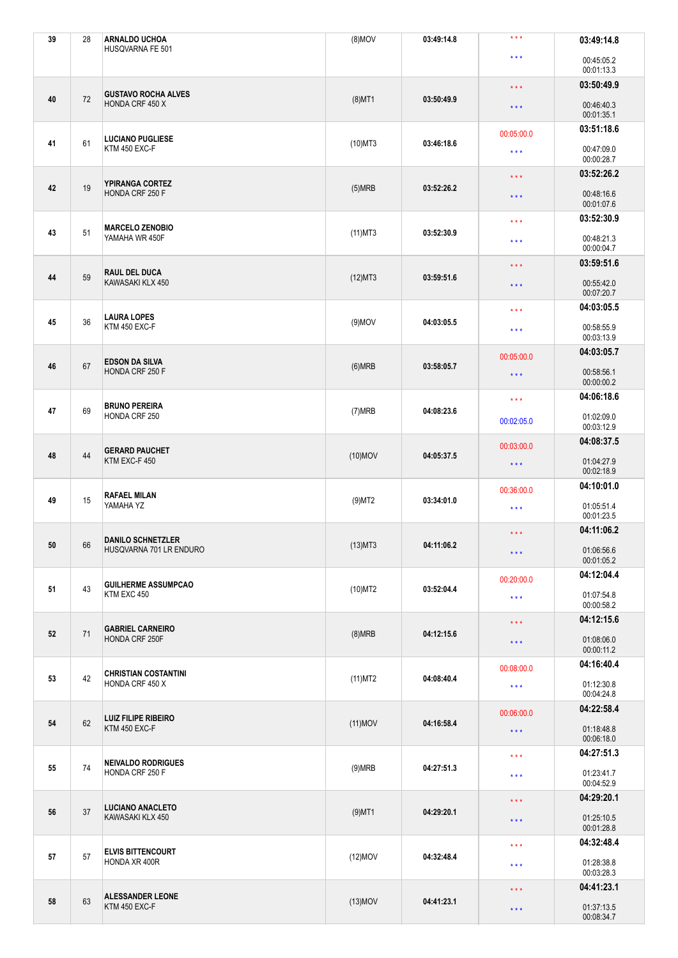| 39 | 28 | <b>ARNALDO UCHOA</b><br>HUSQVARNA FE 501         | $(8)$ MOV  | 03:49:14.8 | $***$                                                                                                                                                                                                                                                                                                                                                                                                                                                                                                                                                                                                                                                                                                                       | 03:49:14.8               |
|----|----|--------------------------------------------------|------------|------------|-----------------------------------------------------------------------------------------------------------------------------------------------------------------------------------------------------------------------------------------------------------------------------------------------------------------------------------------------------------------------------------------------------------------------------------------------------------------------------------------------------------------------------------------------------------------------------------------------------------------------------------------------------------------------------------------------------------------------------|--------------------------|
|    |    |                                                  |            |            | $\star\star\star$                                                                                                                                                                                                                                                                                                                                                                                                                                                                                                                                                                                                                                                                                                           | 00:45:05.2<br>00:01:13.3 |
|    |    | <b>GUSTAVO ROCHA ALVES</b><br>HONDA CRF 450 X    |            |            | $\star\star\star$                                                                                                                                                                                                                                                                                                                                                                                                                                                                                                                                                                                                                                                                                                           | 03:50:49.9               |
| 40 | 72 |                                                  | $(8)$ MT1  | 03:50:49.9 | $\star$ $\star$ $\star$                                                                                                                                                                                                                                                                                                                                                                                                                                                                                                                                                                                                                                                                                                     | 00:46:40.3<br>00:01:35.1 |
|    |    | <b>LUCIANO PUGLIESE</b>                          |            |            | 00:05:00.0                                                                                                                                                                                                                                                                                                                                                                                                                                                                                                                                                                                                                                                                                                                  | 03:51:18.6               |
| 41 | 61 | <b>KTM 450 EXC-F</b>                             | $(10)$ MT3 | 03:46:18.6 | $\star\star\star$                                                                                                                                                                                                                                                                                                                                                                                                                                                                                                                                                                                                                                                                                                           | 00:47:09.0<br>00:00:28.7 |
|    | 19 | <b>YPIRANGA CORTEZ</b><br>HONDA CRF 250 F        |            |            | $\star$ $\star$ $\star$                                                                                                                                                                                                                                                                                                                                                                                                                                                                                                                                                                                                                                                                                                     | 03:52:26.2               |
| 42 |    |                                                  | (5)MRB     | 03:52:26.2 | $\star\star\star$                                                                                                                                                                                                                                                                                                                                                                                                                                                                                                                                                                                                                                                                                                           | 00:48:16.6<br>00:01:07.6 |
|    |    | <b>MARCELO ZENOBIO</b><br>YAMAHA WR 450F         |            |            | $\star\star\star$                                                                                                                                                                                                                                                                                                                                                                                                                                                                                                                                                                                                                                                                                                           | 03:52:30.9               |
| 43 | 51 |                                                  | $(11)$ MT3 | 03:52:30.9 | $\star$ $\star$ $\star$                                                                                                                                                                                                                                                                                                                                                                                                                                                                                                                                                                                                                                                                                                     | 00:48:21.3<br>00:00:04.7 |
|    | 59 | <b>RAUL DEL DUCA</b><br>KAWASAKI KLX 450         |            |            | $\star$ $\star$ $\star$                                                                                                                                                                                                                                                                                                                                                                                                                                                                                                                                                                                                                                                                                                     |                          |
| 44 |    |                                                  | (12)MT3    | 03:59:51.6 | $\star$ $\star$ $\star$                                                                                                                                                                                                                                                                                                                                                                                                                                                                                                                                                                                                                                                                                                     | 00:55:42.0<br>00:07:20.7 |
|    |    | <b>LAURA LOPES</b>                               |            |            | $\star$ $\star$ $\star$                                                                                                                                                                                                                                                                                                                                                                                                                                                                                                                                                                                                                                                                                                     | 04:03:05.5               |
| 45 | 36 | KTM 450 EXC-F                                    | $(9)$ MOV  | 04:03:05.5 | $\star$ $\star$ $\star$                                                                                                                                                                                                                                                                                                                                                                                                                                                                                                                                                                                                                                                                                                     | 00:58:55.9<br>00:03:13.9 |
|    | 67 | <b>EDSON DA SILVA</b><br>HONDA CRF 250 F         |            |            | 00:05:00.0                                                                                                                                                                                                                                                                                                                                                                                                                                                                                                                                                                                                                                                                                                                  | 04:03:05.7               |
| 46 |    |                                                  | (6)MRB     | 03:58:05.7 | 03:59:51.6<br>00:58:56.1<br>$\star$ $\star$ $\star$<br>00:00:00.2<br>04:06:18.6<br>$\star\star\star$<br>01:02:09.0<br>00:02:05.0<br>00:03:12.9<br>04:08:37.5<br>00:03:00.0<br>01:04:27.9<br>$\star\star\star$<br>00:02:18.9<br>04:10:01.0<br>00:36:00.0<br>01:05:51.4<br>$\star\star\star$<br>00:01:23.5<br>04:11:06.2<br>$\star$ $\star$ $\star$<br>01:06:56.6<br>$\star\star\star$<br>00:01:05.2<br>04:12:04.4<br>00:20:00.0<br>01:07:54.8<br>$\star\star\star$<br>00:00:58.2<br>04:12:15.6<br>$\star\star\star$<br>01:08:06.0<br>$\star$ $\star$ $\star$<br>00:00:11.2<br>04:16:40.4<br>00:08:00.0<br>01:12:30.8<br>$\star\star\star$<br>00:04:24.8<br>04:22:58.4<br>00:06:00.0<br>01:18:48.8<br>$\star$ $\star$ $\star$ |                          |
|    |    | <b>BRUNO PEREIRA</b><br>HONDA CRF 250            |            |            |                                                                                                                                                                                                                                                                                                                                                                                                                                                                                                                                                                                                                                                                                                                             |                          |
| 47 | 69 |                                                  | (7)MRB     | 04:08:23.6 |                                                                                                                                                                                                                                                                                                                                                                                                                                                                                                                                                                                                                                                                                                                             |                          |
|    | 44 | <b>GERARD PAUCHET</b><br>KTM EXC-F 450           |            |            |                                                                                                                                                                                                                                                                                                                                                                                                                                                                                                                                                                                                                                                                                                                             |                          |
| 48 |    |                                                  | $(10)$ MOV | 04:05:37.5 |                                                                                                                                                                                                                                                                                                                                                                                                                                                                                                                                                                                                                                                                                                                             |                          |
|    | 15 | <b>RAFAEL MILAN</b><br>YAMAHA YZ                 |            |            |                                                                                                                                                                                                                                                                                                                                                                                                                                                                                                                                                                                                                                                                                                                             |                          |
| 49 |    |                                                  | $(9)$ MT2  | 03:34:01.0 |                                                                                                                                                                                                                                                                                                                                                                                                                                                                                                                                                                                                                                                                                                                             |                          |
|    |    | <b>DANILO SCHNETZLER</b>                         |            |            |                                                                                                                                                                                                                                                                                                                                                                                                                                                                                                                                                                                                                                                                                                                             |                          |
| 50 | 66 | HUSQVARNA 701 LR ENDURO                          | $(13)$ MT3 | 04:11:06.2 |                                                                                                                                                                                                                                                                                                                                                                                                                                                                                                                                                                                                                                                                                                                             |                          |
|    | 43 | <b>GUILHERME ASSUMPCAO</b><br>KTM EXC 450        |            |            |                                                                                                                                                                                                                                                                                                                                                                                                                                                                                                                                                                                                                                                                                                                             |                          |
| 51 |    |                                                  | $(10)$ MT2 | 03:52:04.4 |                                                                                                                                                                                                                                                                                                                                                                                                                                                                                                                                                                                                                                                                                                                             |                          |
|    |    |                                                  |            |            |                                                                                                                                                                                                                                                                                                                                                                                                                                                                                                                                                                                                                                                                                                                             |                          |
| 52 | 71 | <b>GABRIEL CARNEIRO</b><br><b>HONDA CRF 250F</b> | (8)MRB     | 04:12:15.6 |                                                                                                                                                                                                                                                                                                                                                                                                                                                                                                                                                                                                                                                                                                                             |                          |
|    | 42 | <b>CHRISTIAN COSTANTINI</b><br>HONDA CRF 450 X   |            |            |                                                                                                                                                                                                                                                                                                                                                                                                                                                                                                                                                                                                                                                                                                                             |                          |
| 53 |    |                                                  | (11)MT2    | 04:08:40.4 |                                                                                                                                                                                                                                                                                                                                                                                                                                                                                                                                                                                                                                                                                                                             |                          |
|    | 62 | <b>LUIZ FILIPE RIBEIRO</b><br>KTM 450 EXC-F      |            |            |                                                                                                                                                                                                                                                                                                                                                                                                                                                                                                                                                                                                                                                                                                                             |                          |
| 54 |    |                                                  | $(11)$ MOV | 04:16:58.4 |                                                                                                                                                                                                                                                                                                                                                                                                                                                                                                                                                                                                                                                                                                                             | 00:06:18.0               |
|    | 74 | <b>NEIVALDO RODRIGUES</b><br>HONDA CRF 250 F     |            |            | $\star\star\star$                                                                                                                                                                                                                                                                                                                                                                                                                                                                                                                                                                                                                                                                                                           | 04:27:51.3               |
| 55 |    |                                                  | (9)MRB     | 04:27:51.3 | $\star\star\star$                                                                                                                                                                                                                                                                                                                                                                                                                                                                                                                                                                                                                                                                                                           | 01:23:41.7<br>00:04:52.9 |
|    | 37 | <b>LUCIANO ANACLETO</b><br>KAWASAKI KLX 450      |            |            | $\star$ $\star$ $\star$                                                                                                                                                                                                                                                                                                                                                                                                                                                                                                                                                                                                                                                                                                     | 04:29:20.1               |
| 56 |    |                                                  | $(9)$ MT1  | 04:29:20.1 | $\star$ $\star$ $\star$                                                                                                                                                                                                                                                                                                                                                                                                                                                                                                                                                                                                                                                                                                     | 01:25:10.5<br>00:01:28.8 |
|    | 57 | <b>ELVIS BITTENCOURT</b><br>HONDA XR 400R        |            |            | $\star\star\star$                                                                                                                                                                                                                                                                                                                                                                                                                                                                                                                                                                                                                                                                                                           | 04:32:48.4               |
| 57 |    |                                                  | $(12)$ MOV | 04:32:48.4 | $\star\star\star$                                                                                                                                                                                                                                                                                                                                                                                                                                                                                                                                                                                                                                                                                                           | 01:28:38.8<br>00:03:28.3 |
| 58 | 63 | <b>ALESSANDER LEONE</b><br>KTM 450 EXC-F         |            |            | $\star\star\star$                                                                                                                                                                                                                                                                                                                                                                                                                                                                                                                                                                                                                                                                                                           | 04:41:23.1               |
|    |    |                                                  | $(13)$ MOV | 04:41:23.1 | $\star$ $\star$ $\star$                                                                                                                                                                                                                                                                                                                                                                                                                                                                                                                                                                                                                                                                                                     | 01:37:13.5<br>00:08:34.7 |